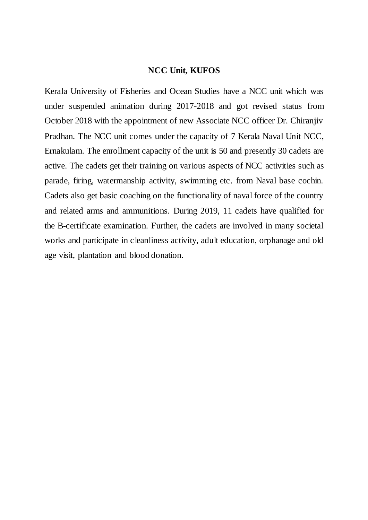### **NCC Unit, KUFOS**

Kerala University of Fisheries and Ocean Studies have a NCC unit which was under suspended animation during 2017-2018 and got revised status from October 2018 with the appointment of new Associate NCC officer Dr. Chiranjiv Pradhan. The NCC unit comes under the capacity of 7 Kerala Naval Unit NCC, Ernakulam. The enrollment capacity of the unit is 50 and presently 30 cadets are active. The cadets get their training on various aspects of NCC activities such as parade, firing, watermanship activity, swimming etc. from Naval base cochin. Cadets also get basic coaching on the functionality of naval force of the country and related arms and ammunitions. During 2019, 11 cadets have qualified for the B-certificate examination. Further, the cadets are involved in many societal works and participate in cleanliness activity, adult education, orphanage and old age visit, plantation and blood donation.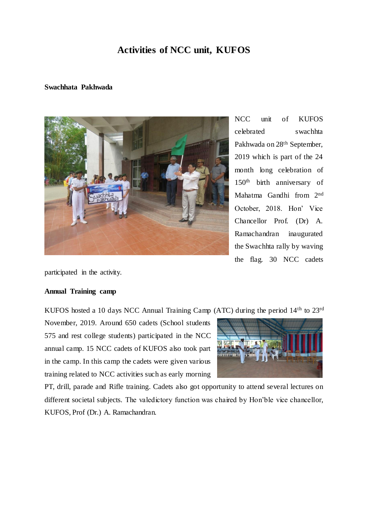# **Activities of NCC unit, KUFOS**

#### **Swachhata Pakhwada**



NCC unit of KUFOS celebrated swachhta Pakhwada on 28<sup>th</sup> September. 2019 which is part of the 24 month long celebration of 150th birth anniversary of Mahatma Gandhi from 2nd October, 2018. Hon' Vice Chancellor Prof. (Dr) A. Ramachandran inaugurated the Swachhta rally by waving the flag. 30 NCC cadets

participated in the activity.

#### **Annual Training camp**

KUFOS hosted a 10 days NCC Annual Training Camp (ATC) during the period 14th to 23rd

November, 2019. Around 650 cadets (School students 575 and rest college students) participated in the NCC annual camp. 15 NCC cadets of KUFOS also took part in the camp. In this camp the cadets were given various training related to NCC activities such as early morning



PT, drill, parade and Rifle training. Cadets also got opportunity to attend several lectures on different societal subjects. The valedictory function was chaired by Hon'ble vice chancellor, KUFOS, Prof (Dr.) A. Ramachandran.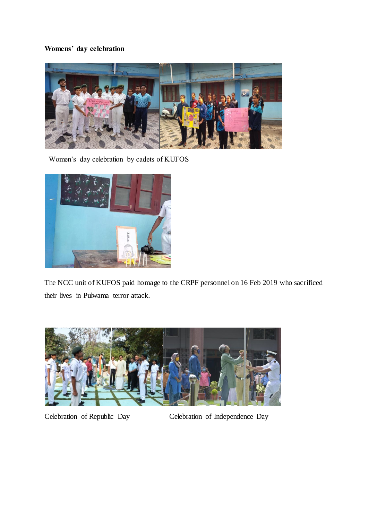# **Womens' day celebration**



Women's day celebration by cadets of KUFOS



The NCC unit of KUFOS paid homage to the CRPF personnel on 16 Feb 2019 who sacrificed their lives in Pulwama terror attack.



Celebration of Republic Day Celebration of Independence Day